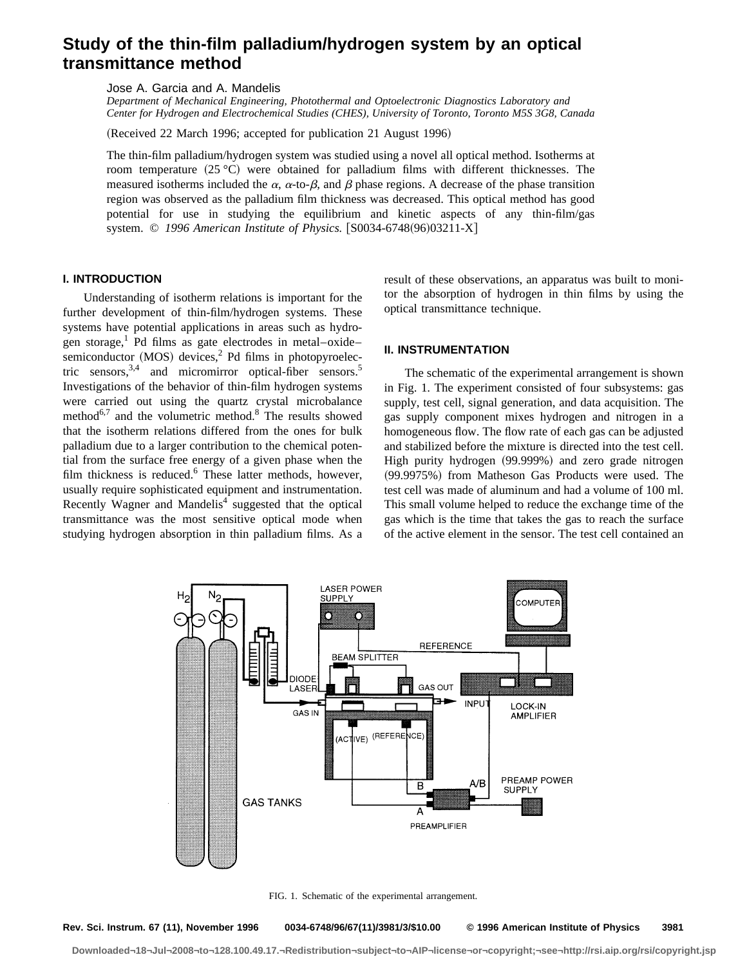# **Study of the thin-film palladium/hydrogen system by an optical transmittance method**

Jose A. Garcia and A. Mandelis

*Department of Mechanical Engineering, Photothermal and Optoelectronic Diagnostics Laboratory and Center for Hydrogen and Electrochemical Studies (CHES), University of Toronto, Toronto M5S 3G8, Canada*

(Received 22 March 1996; accepted for publication 21 August 1996)

The thin-film palladium/hydrogen system was studied using a novel all optical method. Isotherms at room temperature  $(25 \degree C)$  were obtained for palladium films with different thicknesses. The measured isotherms included the  $\alpha$ ,  $\alpha$ -to- $\beta$ , and  $\beta$  phase regions. A decrease of the phase transition region was observed as the palladium film thickness was decreased. This optical method has good potential for use in studying the equilibrium and kinetic aspects of any thin-film/gas system. © 1996 American Institute of Physics. [S0034-6748(96)03211-X]

# **I. INTRODUCTION**

Understanding of isotherm relations is important for the further development of thin-film/hydrogen systems. These systems have potential applications in areas such as hydrogen storage,<sup>1</sup> Pd films as gate electrodes in metal–oxide– semiconductor  $(MOS)$  devices,<sup>2</sup> Pd films in photopyroelectric sensors,  $3,4$  and micromirror optical-fiber sensors.<sup>5</sup> Investigations of the behavior of thin-film hydrogen systems were carried out using the quartz crystal microbalance method $6,7$  and the volumetric method.<sup>8</sup> The results showed that the isotherm relations differed from the ones for bulk palladium due to a larger contribution to the chemical potential from the surface free energy of a given phase when the film thickness is reduced. $6$  These latter methods, however, usually require sophisticated equipment and instrumentation. Recently Wagner and Mandelis<sup>4</sup> suggested that the optical transmittance was the most sensitive optical mode when studying hydrogen absorption in thin palladium films. As a result of these observations, an apparatus was built to monitor the absorption of hydrogen in thin films by using the optical transmittance technique.

# **II. INSTRUMENTATION**

The schematic of the experimental arrangement is shown in Fig. 1. The experiment consisted of four subsystems: gas supply, test cell, signal generation, and data acquisition. The gas supply component mixes hydrogen and nitrogen in a homogeneous flow. The flow rate of each gas can be adjusted and stabilized before the mixture is directed into the test cell. High purity hydrogen (99.999%) and zero grade nitrogen (99.9975%) from Matheson Gas Products were used. The test cell was made of aluminum and had a volume of 100 ml. This small volume helped to reduce the exchange time of the gas which is the time that takes the gas to reach the surface of the active element in the sensor. The test cell contained an



FIG. 1. Schematic of the experimental arrangement.

**Rev. Sci. Instrum. 67 (11), November 1996 0034-6748/96/67(11)/3981/3/\$10.00 © 1996 American Institute of Physics 3981**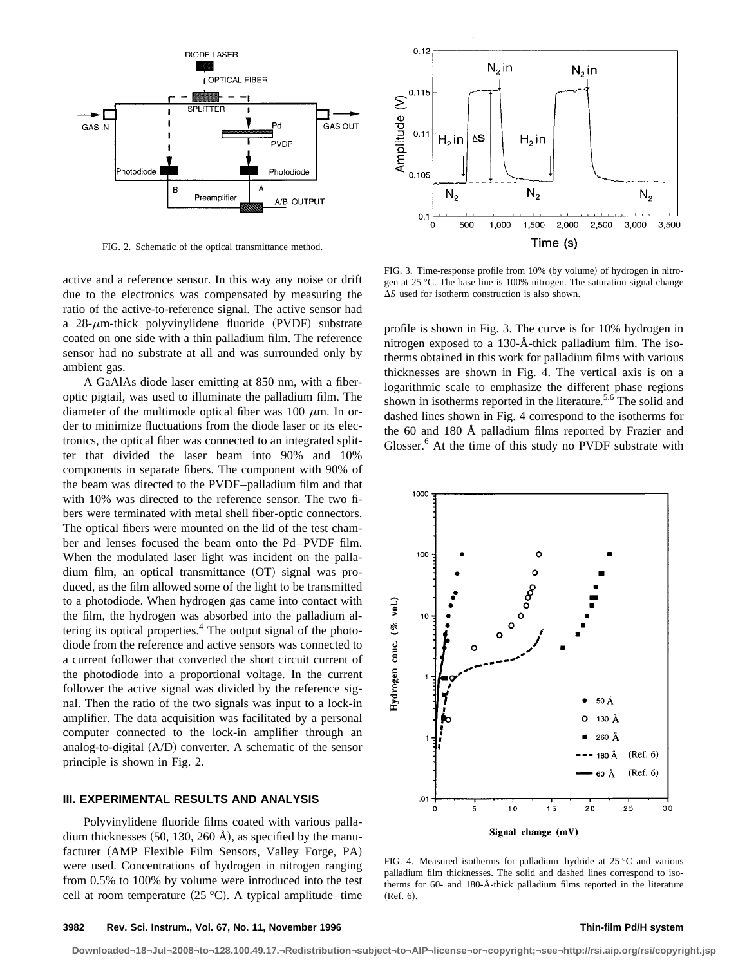

FIG. 2. Schematic of the optical transmittance method.

active and a reference sensor. In this way any noise or drift due to the electronics was compensated by measuring the ratio of the active-to-reference signal. The active sensor had a  $28$ - $\mu$ m-thick polyvinylidene fluoride (PVDF) substrate coated on one side with a thin palladium film. The reference sensor had no substrate at all and was surrounded only by ambient gas.

A GaAlAs diode laser emitting at 850 nm, with a fiberoptic pigtail, was used to illuminate the palladium film. The diameter of the multimode optical fiber was 100  $\mu$ m. In order to minimize fluctuations from the diode laser or its electronics, the optical fiber was connected to an integrated splitter that divided the laser beam into 90% and 10% components in separate fibers. The component with 90% of the beam was directed to the PVDF–palladium film and that with 10% was directed to the reference sensor. The two fibers were terminated with metal shell fiber-optic connectors. The optical fibers were mounted on the lid of the test chamber and lenses focused the beam onto the Pd–PVDF film. When the modulated laser light was incident on the palla- $\dim$  film, an optical transmittance  $(OT)$  signal was produced, as the film allowed some of the light to be transmitted to a photodiode. When hydrogen gas came into contact with the film, the hydrogen was absorbed into the palladium altering its optical properties.<sup>4</sup> The output signal of the photodiode from the reference and active sensors was connected to a current follower that converted the short circuit current of the photodiode into a proportional voltage. In the current follower the active signal was divided by the reference signal. Then the ratio of the two signals was input to a lock-in amplifier. The data acquisition was facilitated by a personal computer connected to the lock-in amplifier through an analog-to-digital  $(A/D)$  converter. A schematic of the sensor principle is shown in Fig. 2.

# **III. EXPERIMENTAL RESULTS AND ANALYSIS**

Polyvinylidene fluoride films coated with various palladium thicknesses  $(50, 130, 260 \text{ Å})$ , as specified by the manufacturer (AMP Flexible Film Sensors, Valley Forge, PA) were used. Concentrations of hydrogen in nitrogen ranging from 0.5% to 100% by volume were introduced into the test cell at room temperature  $(25 °C)$ . A typical amplitude–time



FIG. 3. Time-response profile from 10% (by volume) of hydrogen in nitrogen at 25 °C. The base line is 100% nitrogen. The saturation signal change  $\Delta S$  used for isotherm construction is also shown.

profile is shown in Fig. 3. The curve is for 10% hydrogen in nitrogen exposed to a 130-Å-thick palladium film. The isotherms obtained in this work for palladium films with various thicknesses are shown in Fig. 4. The vertical axis is on a logarithmic scale to emphasize the different phase regions shown in isotherms reported in the literature.<sup>5,6</sup> The solid and dashed lines shown in Fig. 4 correspond to the isotherms for the 60 and 180 Å palladium films reported by Frazier and Glosser.<sup>6</sup> At the time of this study no PVDF substrate with



FIG. 4. Measured isotherms for palladium–hydride at 25 °C and various palladium film thicknesses. The solid and dashed lines correspond to isotherms for 60- and 180-Å-thick palladium films reported in the literature  $(Ref. 6).$ 

### **3982 Rev. Sci. Instrum., Vol. 67, No. 11, November 1996 Thin-film Pd/H system**

**Downloaded¬18¬Jul¬2008¬to¬128.100.49.17.¬Redistribution¬subject¬to¬AIP¬license¬or¬copyright;¬see¬http://rsi.aip.org/rsi/copyright.jsp**